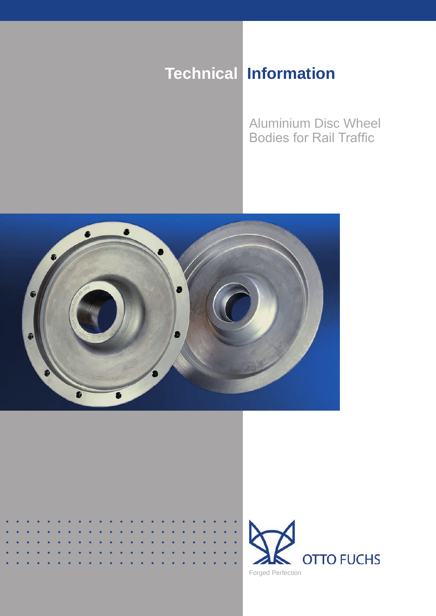# **Technical Information**

Aluminium Disc Wheel **Bodies for Rail Traffic** 



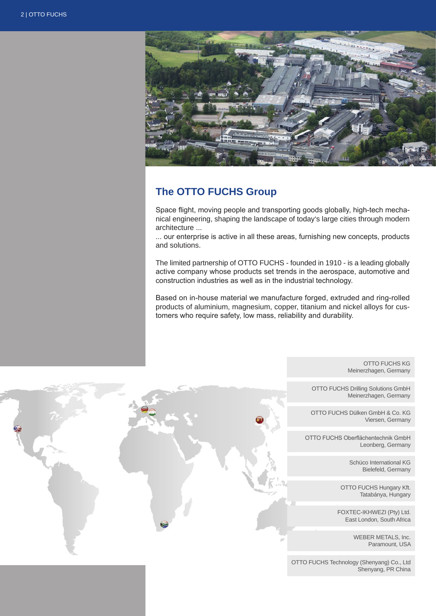

# **The OTTO FUCHS Group**

Space flight, moving people and transporting goods globally, high-tech mechanical engineering, shaping the landscape of today's large cities through modern architecture ...

... our enterprise is active in all these areas, furnishing new concepts, products and solutions.

The limited partnership of OTTO FUCHS - founded in 1910 - is a leading globally active company whose products set trends in the aerospace, automotive and construction industries as well as in the industrial technology.

Based on in-house material we manufacture forged, extruded and ring-rolled products of aluminium, magnesium, copper, titanium and nickel alloys for customers who require safety, low mass, reliability and durability.

> OTTO FUCHS KG Meinerzhagen, Germany

OTTO FUCHS Drilling Solutions GmbH Meinerzhagen, Germany

OTTO FUCHS Dülken GmbH & Co. KG Viersen, Germany

OTTO FUCHS Oberflächentechnik GmbH Leonberg, Germany

> Schüco International KG Bielefeld, Germany

OTTO FUCHS Hungary Kft. Tatabánya, Hungary

FOXTEC-IKHWEZI (Pty) Ltd. East London, South Africa

> WEBER METALS, Inc. Paramount, USA

OTTO FUCHS Technology (Shenyang) Co., Ltd Shenyang, PR China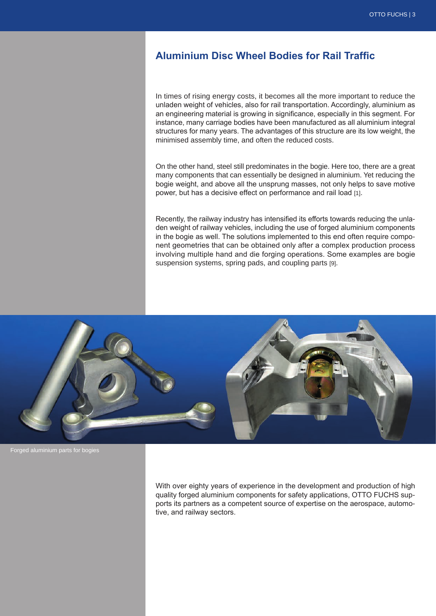# **Aluminium Disc Wheel Bodies for Rail Traffic**

In times of rising energy costs, it becomes all the more important to reduce the unladen weight of vehicles, also for rail transportation. Accordingly, aluminium as an engineering material is growing in significance, especially in this segment. For instance, many carriage bodies have been manufactured as all aluminium integral structures for many years. The advantages of this structure are its low weight, the minimised assembly time, and often the reduced costs.

On the other hand, steel still predominates in the bogie. Here too, there are a great many components that can essentially be designed in aluminium. Yet reducing the bogie weight, and above all the unsprung masses, not only helps to save motive power, but has a decisive effect on performance and rail load [1].

Recently, the railway industry has intensified its efforts towards reducing the unladen weight of railway vehicles, including the use of forged aluminium components in the bogie as well. The solutions implemented to this end often require component geometries that can be obtained only after a complex production process involving multiple hand and die forging operations. Some examples are bogie suspension systems, spring pads, and coupling parts [9].



Forged aluminium parts for bogies

With over eighty years of experience in the development and production of high quality forged aluminium components for safety applications, OTTO FUCHS supports its partners as a competent source of expertise on the aerospace, automotive, and railway sectors.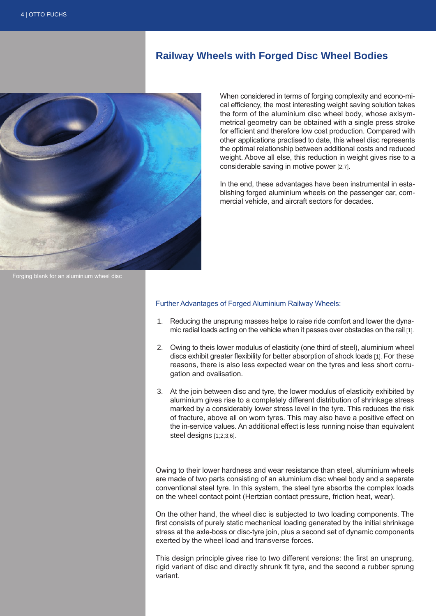## **Railway Wheels with Forged Disc Wheel Bodies**



When considered in terms of forging complexity and econo-mical efficiency, the most interesting weight saving solution takes the form of the aluminium disc wheel body, whose axisymmetrical geometry can be obtained with a single press stroke for efficient and therefore low cost production. Compared with other applications practised to date, this wheel disc represents the optimal relationship between additional costs and reduced weight. Above all else, this reduction in weight gives rise to a considerable saving in motive power [2;7].

In the end, these advantages have been instrumental in establishing forged aluminium wheels on the passenger car, commercial vehicle, and aircraft sectors for decades.

Forging blank for an aluminium wheel disc

#### Further Advantages of Forged Aluminium Railway Wheels:

- 1. Reducing the unsprung masses helps to raise ride comfort and lower the dynamic radial loads acting on the vehicle when it passes over obstacles on the rail [1].
- 2. Owing to theis lower modulus of elasticity (one third of steel), aluminium wheel discs exhibit greater flexibility for better absorption of shock loads [1]. For these reasons, there is also less expected wear on the tyres and less short corrugation and ovalisation.
- 3. At the join between disc and tyre, the lower modulus of elasticity exhibited by aluminium gives rise to a completely different distribution of shrinkage stress marked by a considerably lower stress level in the tyre. This reduces the risk of fracture, above all on worn tyres. This may also have a positive effect on the in-service values. An additional effect is less running noise than equivalent steel designs [1;2;3;6].

Owing to their lower hardness and wear resistance than steel, aluminium wheels are made of two parts consisting of an aluminium disc wheel body and a separate conventional steel tyre. In this system, the steel tyre absorbs the complex loads on the wheel contact point (Hertzian contact pressure, friction heat, wear).

On the other hand, the wheel disc is subjected to two loading components. The first consists of purely static mechanical loading generated by the initial shrinkage stress at the axle-boss or disc-tyre join, plus a second set of dynamic components exerted by the wheel load and transverse forces.

This design principle gives rise to two different versions: the first an unsprung, rigid variant of disc and directly shrunk fit tyre, and the second a rubber sprung variant.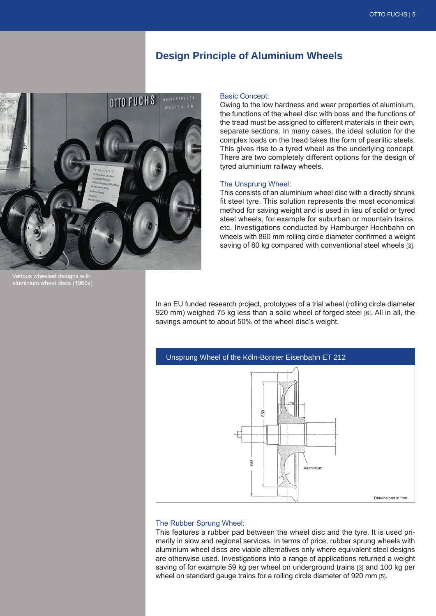## **Design Principle of Aluminium Wheels**



'arious wheelset designs with aluminium wheel discs (1960s)

#### Basic Concept:

Owing to the low hardness and wear properties of aluminium, the functions of the wheel disc with boss and the functions of the tread must be assigned to different materials in their own, separate sections. In many cases, the ideal solution for the complex loads on the tread takes the form of pearlitic steels. This gives rise to a tyred wheel as the underlying concept. There are two completely different options for the design of tyred aluminium railway wheels.

#### The Unsprung Wheel:

This consists of an aluminium wheel disc with a directly shrunk fit steel tyre. This solution represents the most economical method for saving weight and is used in lieu of solid or tyred steel wheels, for example for suburban or mountain trains, etc. Investigations conducted by Hamburger Hochbahn on wheels with 860 mm rolling circle diameter confirmed a weight saving of 80 kg compared with conventional steel wheels [3].

In an EU funded research project, prototypes of a trial wheel (rolling circle diameter 920 mm) weighed 75 kg less than a solid wheel of forged steel [6]. All in all, the savings amount to about 50% of the wheel disc's weight.



#### The Rubber Sprung Wheel:

This features a rubber pad between the wheel disc and the tyre. It is used primarily in slow and regional services. In terms of price, rubber sprung wheels with aluminium wheel discs are viable alternatives only where equivalent steel designs are otherwise used. Investigations into a range of applications returned a weight saving of for example 59 kg per wheel on underground trains [3] and 100 kg per wheel on standard gauge trains for a rolling circle diameter of 920 mm [5].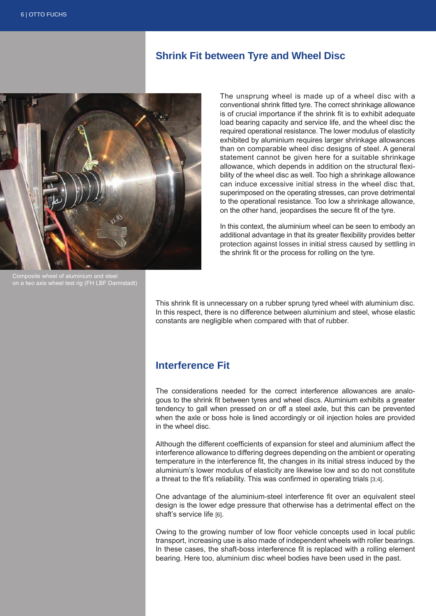## **Shrink Fit between Tyre and Wheel Disc**



Composite wheel of aluminium and steel on a two axis wheel test rig (FH LBF Darmstadt)

The unsprung wheel is made up of a wheel disc with a conventional shrink fitted tyre. The correct shrinkage allowance is of crucial importance if the shrink fit is to exhibit adequate load bearing capacity and service life, and the wheel disc the required operational resistance. The lower modulus of elasticity exhibited by aluminium requires larger shrinkage allowances than on comparable wheel disc designs of steel. A general statement cannot be given here for a suitable shrinkage allowance, which depends in addition on the structural flexibility of the wheel disc as well. Too high a shrinkage allowance can induce excessive initial stress in the wheel disc that, superimposed on the operating stresses, can prove detrimental to the operational resistance. Too low a shrinkage allowance, on the other hand, jeopardises the secure fit of the tyre.

In this context, the aluminium wheel can be seen to embody an additional advantage in that its greater flexibility provides better protection against losses in initial stress caused by settling in the shrink fit or the process for rolling on the tyre.

This shrink fit is unnecessary on a rubber sprung tyred wheel with aluminium disc. In this respect, there is no difference between aluminium and steel, whose elastic constants are negligible when compared with that of rubber.

# **Interference Fit**

The considerations needed for the correct interference allowances are analogous to the shrink fit between tyres and wheel discs. Aluminium exhibits a greater tendency to gall when pressed on or off a steel axle, but this can be prevented when the axle or boss hole is lined accordingly or oil injection holes are provided in the wheel disc.

Although the different coefficients of expansion for steel and aluminium affect the interference allowance to differing degrees depending on the ambient or operating temperature in the interference fit, the changes in its initial stress induced by the aluminium's lower modulus of elasticity are likewise low and so do not constitute a threat to the fit's reliability. This was confirmed in operating trials [3;4].

One advantage of the aluminium-steel interference fit over an equivalent steel design is the lower edge pressure that otherwise has a detrimental effect on the shaft's service life [6].

Owing to the growing number of low floor vehicle concepts used in local public transport, increasing use is also made of independent wheels with roller bearings. In these cases, the shaft-boss interference fit is replaced with a rolling element bearing. Here too, aluminium disc wheel bodies have been used in the past.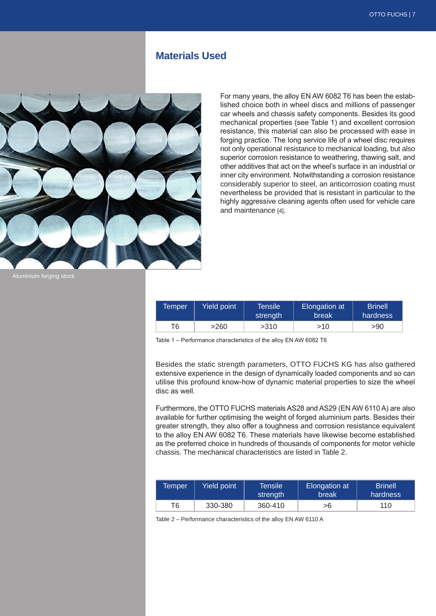## **Materials Used**



For many years, the alloy EN AW 6082 T6 has been the established choice both in wheel discs and millions of passenger car wheels and chassis safety components. Besides its good mechanical properties (see Table 1) and excellent corrosion resistance, this material can also be processed with ease in forging practice. The long service life of a wheel disc requires not only operational resistance to mechanical loading, but also superior corrosion resistance to weathering, thawing salt, and other additives that act on the wheel's surface in an industrial or inner city environment. Notwithstanding a corrosion resistance considerably superior to steel, an anticorrosion coating must nevertheless be provided that is resistant in particular to the highly aggressive cleaning agents often used for vehicle care and maintenance [4].

| Temper | <b>Yield point</b> | <b>Tensile</b><br>strenath | Elongation at<br><b>break</b> | <b>Brinell</b><br>hardness |
|--------|--------------------|----------------------------|-------------------------------|----------------------------|
| Τ6     | >260               | >310                       | >10                           | >90                        |

Table 1 – Performance characteristics of the alloy EN AW 6082 T6

Besides the static strength parameters, OTTO FUCHS KG has also gathered extensive experience in the design of dynamically loaded components and so can utilise this profound know-how of dynamic material properties to size the wheel disc as well.

Furthermore, the OTTO FUCHS materials AS28 and AS29 (EN AW 6110 A) are also available for further optimising the weight of forged aluminium parts. Besides their greater strength, they also offer a toughness and corrosion resistance equivalent to the alloy EN AW 6082 T6. These materials have likewise become established as the preferred choice in hundreds of thousands of components for motor vehicle chassis. The mechanical characteristics are listed in Table 2.

| Temper | Yield point | <b>Tensile</b><br>strength | Elongation at<br>break | <b>Brinell</b><br>hardness |
|--------|-------------|----------------------------|------------------------|----------------------------|
| Т6     | 330-380     | 360-410                    | >6                     | 110                        |

Table 2 – Performance characteristics of the alloy EN AW 6110 A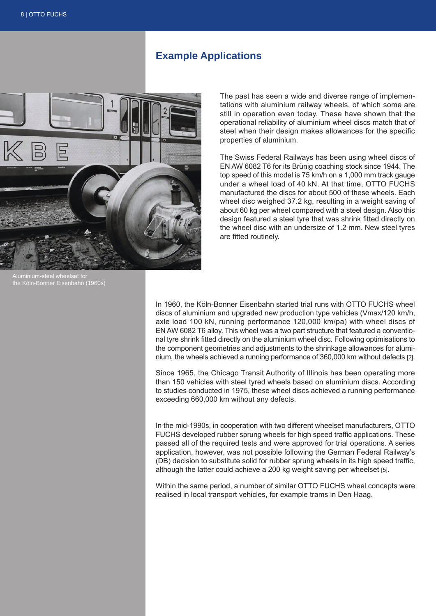# **Example Applications**



The past has seen a wide and diverse range of implementations with aluminium railway wheels, of which some are still in operation even today. These have shown that the operational reliability of aluminium wheel discs match that of steel when their design makes allowances for the specific properties of aluminium.

The Swiss Federal Railways has been using wheel discs of EN AW 6082 T6 for its Brünig coaching stock since 1944. The top speed of this model is 75 km/h on a 1,000 mm track gauge under a wheel load of 40 kN. At that time, OTTO FUCHS manufactured the discs for about 500 of these wheels. Each wheel disc weighed 37.2 kg, resulting in a weight saving of about 60 kg per wheel compared with a steel design. Also this design featured a steel tyre that was shrink fitted directly on the wheel disc with an undersize of 1.2 mm. New steel tyres are fitted routinely.

Aluminium-steel wheelset for the Köln-Bonner Eisenbahn (1960s)

In 1960, the Köln-Bonner Eisenbahn started trial runs with OTTO FUCHS wheel discs of aluminium and upgraded new production type vehicles (Vmax/120 km/h, axle load 100 kN, running performance 120,000 km/pa) with wheel discs of EN AW 6082 T6 alloy. This wheel was a two part structure that featured a conventional tyre shrink fitted directly on the aluminium wheel disc. Following optimisations to the component geometries and adjustments to the shrinkage allowances for aluminium, the wheels achieved a running performance of 360,000 km without defects [2].

Since 1965, the Chicago Transit Authority of Illinois has been operating more than 150 vehicles with steel tyred wheels based on aluminium discs. According to studies conducted in 1975, these wheel discs achieved a running performance exceeding 660,000 km without any defects.

In the mid-1990s, in cooperation with two different wheelset manufacturers, OTTO FUCHS developed rubber sprung wheels for high speed traffic applications. These passed all of the required tests and were approved for trial operations. A series application, however, was not possible following the German Federal Railway's (DB) decision to substitute solid for rubber sprung wheels in its high speed traffic, although the latter could achieve a 200 kg weight saving per wheelset [5].

Within the same period, a number of similar OTTO FUCHS wheel concepts were realised in local transport vehicles, for example trams in Den Haag.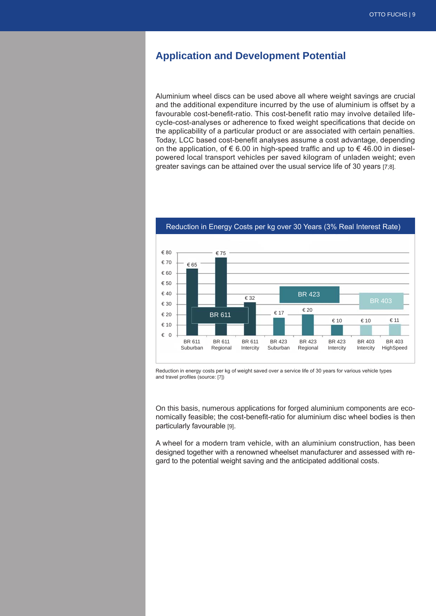# **Application and Development Potential**

Aluminium wheel discs can be used above all where weight savings are crucial and the additional expenditure incurred by the use of aluminium is offset by a favourable cost-benefit-ratio. This cost-benefit ratio may involve detailed lifecycle-cost-analyses or adherence to fixed weight specifications that decide on the applicability of a particular product or are associated with certain penalties. Today, LCC based cost-benefit analyses assume a cost advantage, depending on the application, of  $\epsilon$  6.00 in high-speed traffic and up to  $\epsilon$  46.00 in dieselpowered local transport vehicles per saved kilogram of unladen weight; even greater savings can be attained over the usual service life of 30 years [7;8].



Reduction in Energy Costs per kg over 30 Years (3% Real Interest Rate)

Reduction in energy costs per kg of weight saved over a service life of 30 years for various vehicle types and travel profiles (source: [7])

On this basis, numerous applications for forged aluminium components are economically feasible; the cost-benefit-ratio for aluminium disc wheel bodies is then particularly favourable [9].

A wheel for a modern tram vehicle, with an aluminium construction, has been designed together with a renowned wheelset manufacturer and assessed with regard to the potential weight saving and the anticipated additional costs.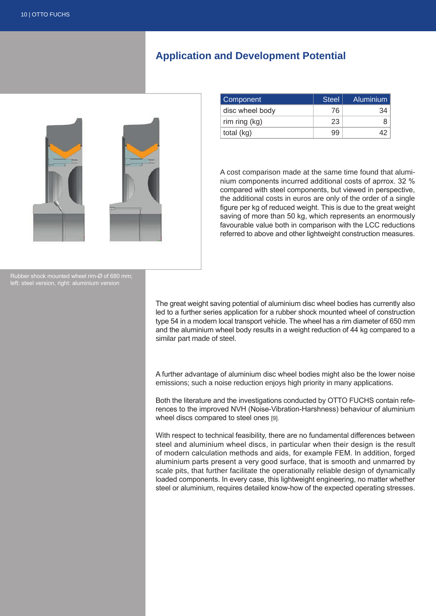# **Application and Development Potential**



| Component       | <b>Steel</b> | <b>Aluminium</b> |
|-----------------|--------------|------------------|
| disc wheel body | 76           |                  |
| rim ring $(kg)$ | 23           |                  |
| total (kg)      | 99           |                  |

A cost comparison made at the same time found that aluminium components incurred additional costs of aprrox. 32 % compared with steel components, but viewed in perspective, the additional costs in euros are only of the order of a single figure per kg of reduced weight. This is due to the great weight saving of more than 50 kg, which represents an enormously favourable value both in comparison with the LCC reductions referred to above and other lightweight construction measures.

Rubber shock mounted wheel rim-Ø of 680 mm; left: steel version, right: aluminium version

> The great weight saving potential of aluminium disc wheel bodies has currently also led to a further series application for a rubber shock mounted wheel of construction type 54 in a modern local transport vehicle. The wheel has a rim diameter of 650 mm and the aluminium wheel body results in a weight reduction of 44 kg compared to a similar part made of steel.

> A further advantage of aluminium disc wheel bodies might also be the lower noise emissions; such a noise reduction enjoys high priority in many applications.

> Both the literature and the investigations conducted by OTTO FUCHS contain references to the improved NVH (Noise-Vibration-Harshness) behaviour of aluminium wheel discs compared to steel ones [9].

> With respect to technical feasibility, there are no fundamental differences between steel and aluminium wheel discs, in particular when their design is the result of modern calculation methods and aids, for example FEM. In addition, forged aluminium parts present a very good surface, that is smooth and unmarred by scale pits, that further facilitate the operationally reliable design of dynamically loaded components. In every case, this lightweight engineering, no matter whether steel or aluminium, requires detailed know-how of the expected operating stresses.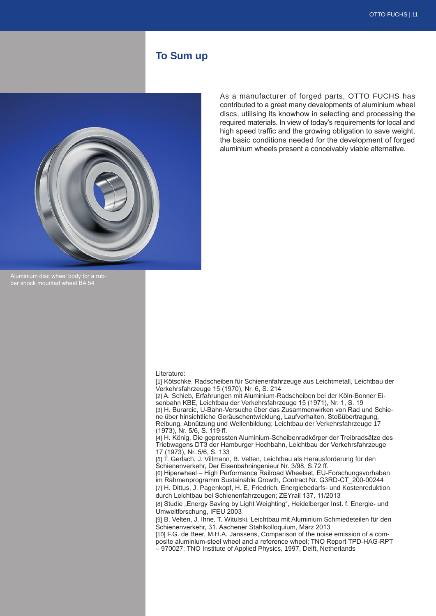## **To Sum up**



As a manufacturer of forged parts, OTTO FUCHS has contributed to a great many developments of aluminium wheel discs, utilising its knowhow in selecting and processing the required materials. In view of today's requirements for local and high speed traffic and the growing obligation to save weight, the basic conditions needed for the development of forged aluminium wheels present a conceivably viable alternative.

ber shock mounted wheel BA 5

#### Literature:

[1] Kötschke, Radscheiben für Schienenfahrzeuge aus Leichtmetall, Leichtbau der Verkehrsfahrzeuge 15 (1970), Nr. 6, S. 214 [2] A. Schieb, Erfahrungen mit Aluminium-Radscheiben bei der Köln-Bonner Eisenbahn KBE, Leichtbau der Verkehrsfahrzeuge 15 (1971), Nr. 1, S. 19 [3] H. Burarcic, U-Bahn-Versuche über das Zusammenwirken von Rad und Schiene über hinsichtliche Geräuschentwicklung, Laufverhalten, Stoßübertragung, Reibung, Abnützung und Wellenbildung; Leichtbau der Verkehrsfahrzeuge 17 (1973), Nr. 5/6, S. 119 ff.

[4] H. König, Die gepressten Aluminium-Scheibenradkörper der Treibradsätze des Triebwagens DT3 der Hamburger Hochbahn, Leichtbau der Verkehrsfahrzeuge 17 (1973), Nr. 5/6, S. 133

[5] T. Gerlach, J. Villmann, B. Velten, Leichtbau als Herausforderung für den Schienenverkehr, Der Eisenbahningenieur Nr. 3/98, S.72 ff.

[6] Hiperwheel – High Performance Railroad Wheelset, EU-Forschungsvorhaben im Rahmenprogramm Sustainable Growth, Contract Nr. G3RD-CT\_200-00244

[7] H. Dittus, J. Pagenkopf, H. E. Friedrich, Energiebedarfs- und Kostenreduktion durch Leichtbau bei Schienenfahrzeugen; ZEYrail 137, 11/2013

[8] Studie "Energy Saving by Light Weighting", Heidelberger Inst. f. Energie- und Umweltforschung, IFEU 2003

[9] B. Velten, J. Ihne, T. Witulski, Leichtbau mit Aluminium Schmiedeteilen für den Schienenverkehr, 31. Aachener Stahlkolloquium, März 2013

[10] F.G. de Beer, M.H.A. Janssens, Comparison of the noise emission of a composite aluminium-steel wheel and a reference wheel; TNO Report TPD-HAG-RPT – 970027; TNO Institute of Applied Physics, 1997, Delft, Netherlands